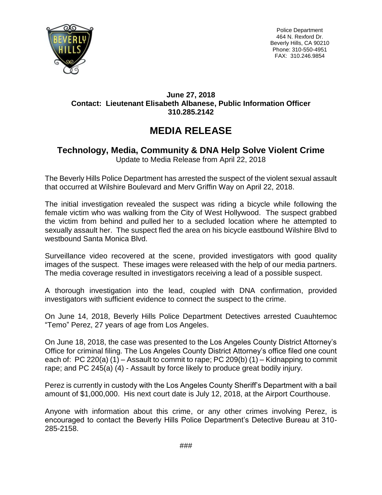

Police Department 464 N. Rexford Dr. Beverly Hills, CA 90210 Phone: 310-550-4951 FAX: 310.246.9854

## **June 27, 2018 Contact: Lieutenant Elisabeth Albanese, Public Information Officer 310.285.2142**

## **MEDIA RELEASE**

## **Technology, Media, Community & DNA Help Solve Violent Crime**

Update to Media Release from April 22, 2018

The Beverly Hills Police Department has arrested the suspect of the violent sexual assault that occurred at Wilshire Boulevard and Merv Griffin Way on April 22, 2018.

The initial investigation revealed the suspect was riding a bicycle while following the female victim who was walking from the City of West Hollywood. The suspect grabbed the victim from behind and pulled her to a secluded location where he attempted to sexually assault her. The suspect fled the area on his bicycle eastbound Wilshire Blvd to westbound Santa Monica Blvd.

Surveillance video recovered at the scene, provided investigators with good quality images of the suspect. These images were released with the help of our media partners. The media coverage resulted in investigators receiving a lead of a possible suspect.

A thorough investigation into the lead, coupled with DNA confirmation, provided investigators with sufficient evidence to connect the suspect to the crime.

On June 14, 2018, Beverly Hills Police Department Detectives arrested Cuauhtemoc "Temo" Perez, 27 years of age from Los Angeles.

On June 18, 2018, the case was presented to the Los Angeles County District Attorney's Office for criminal filing. The Los Angeles County District Attorney's office filed one count each of: PC 220(a) (1) – Assault to commit to rape; PC 209(b) (1) – Kidnapping to commit rape; and PC 245(a) (4) - Assault by force likely to produce great bodily injury.

Perez is currently in custody with the Los Angeles County Sheriff's Department with a bail amount of \$1,000,000. His next court date is July 12, 2018, at the Airport Courthouse.

Anyone with information about this crime, or any other crimes involving Perez, is encouraged to contact the Beverly Hills Police Department's Detective Bureau at 310- 285-2158.